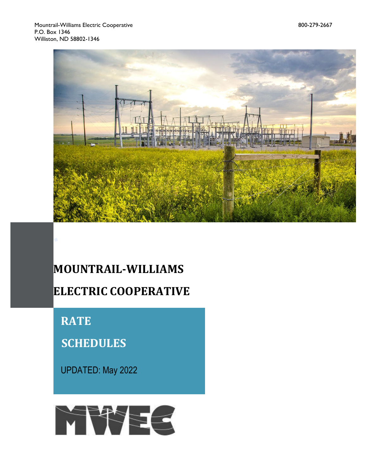

# **MOUNTRAIL-WILLIAMS ELECTRIC COOPERATIVE**

 **RATE** 

 **SCHEDULES**

UPDATED: May 2022

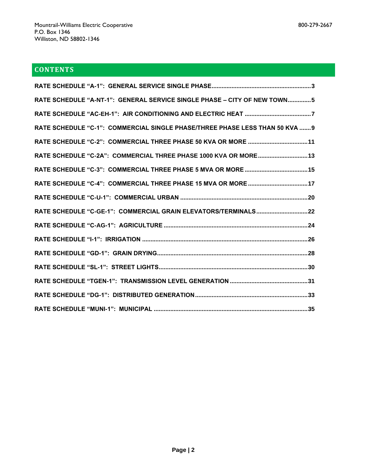# **CONTENTS**

| RATE SCHEDULE "A-NT-1": GENERAL SERVICE SINGLE PHASE - CITY OF NEW TOWN5     |
|------------------------------------------------------------------------------|
|                                                                              |
| RATE SCHEDULE "C-1": COMMERCIAL SINGLE PHASE/THREE PHASE LESS THAN 50 KVA  9 |
| RATE SCHEDULE "C-2": COMMERCIAL THREE PHASE 50 KVA OR MORE  11               |
| RATE SCHEDULE "C-2A": COMMERCIAL THREE PHASE 1000 KVA OR MORE 13             |
|                                                                              |
|                                                                              |
|                                                                              |
| RATE SCHEDULE "C-GE-1": COMMERCIAL GRAIN ELEVATORS/TERMINALS22               |
|                                                                              |
|                                                                              |
|                                                                              |
|                                                                              |
|                                                                              |
|                                                                              |
|                                                                              |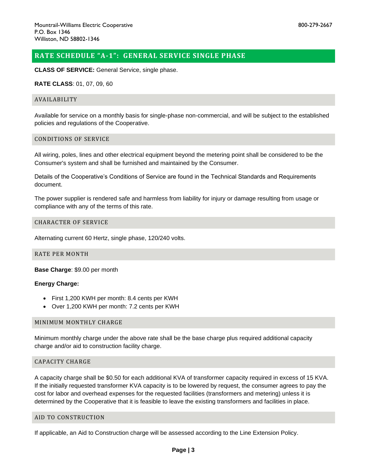# <span id="page-2-0"></span>**RATE SCHEDULE "A-1": GENERAL SERVICE SINGLE PHASE**

**CLASS OF SERVICE:** General Service, single phase.

#### **RATE CLASS**: 01, 07, 09, 60

#### AVAILABILITY

Available for service on a monthly basis for single-phase non-commercial, and will be subject to the established policies and regulations of the Cooperative.

#### CONDITIONS OF SERVICE

All wiring, poles, lines and other electrical equipment beyond the metering point shall be considered to be the Consumer's system and shall be furnished and maintained by the Consumer.

Details of the Cooperative's Conditions of Service are found in the Technical Standards and Requirements document.

The power supplier is rendered safe and harmless from liability for injury or damage resulting from usage or compliance with any of the terms of this rate.

#### CHARACTER OF SERVICE

Alternating current 60 Hertz, single phase, 120/240 volts.

## RATE PER MONTH

**Base Charge**: \$9.00 per month

# **Energy Charge:**

- First 1,200 KWH per month: 8.4 cents per KWH
- Over 1,200 KWH per month: 7.2 cents per KWH

#### MINIMUM MONTHLY CHARGE

Minimum monthly charge under the above rate shall be the base charge plus required additional capacity charge and/or aid to construction facility charge.

# CAPACITY CHARGE

A capacity charge shall be \$0.50 for each additional KVA of transformer capacity required in excess of 15 KVA. If the initially requested transformer KVA capacity is to be lowered by request, the consumer agrees to pay the cost for labor and overhead expenses for the requested facilities (transformers and metering) unless it is determined by the Cooperative that it is feasible to leave the existing transformers and facilities in place.

#### AID TO CONSTRUCTION

If applicable, an Aid to Construction charge will be assessed according to the Line Extension Policy.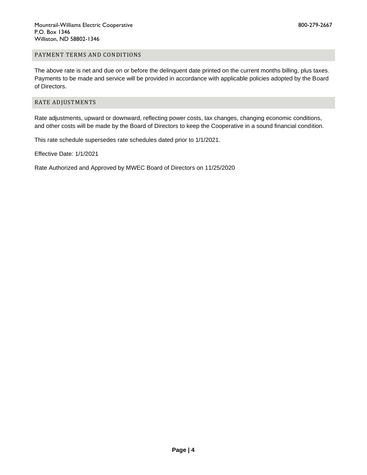# PAYMENT TERMS AND CONDITIONS

The above rate is net and due on or before the delinquent date printed on the current months billing, plus taxes. Payments to be made and service will be provided in accordance with applicable policies adopted by the Board of Directors.

# RATE ADJUSTMENTS

Rate adjustments, upward or downward, reflecting power costs, tax changes, changing economic conditions, and other costs will be made by the Board of Directors to keep the Cooperative in a sound financial condition.

This rate schedule supersedes rate schedules dated prior to 1/1/2021.

Effective Date: 1/1/2021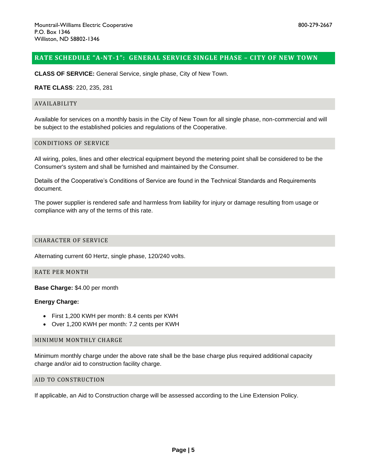# <span id="page-4-0"></span>**RATE SCHEDULE "A-NT-1": GENERAL SERVICE SINGLE PHASE – CITY OF NEW TOWN**

**CLASS OF SERVICE:** General Service, single phase, City of New Town.

#### **RATE CLASS**: 220, 235, 281

#### AVAILABILITY

Available for services on a monthly basis in the City of New Town for all single phase, non-commercial and will be subject to the established policies and regulations of the Cooperative.

#### CONDITIONS OF SERVICE

All wiring, poles, lines and other electrical equipment beyond the metering point shall be considered to be the Consumer's system and shall be furnished and maintained by the Consumer.

Details of the Cooperative's Conditions of Service are found in the Technical Standards and Requirements document.

The power supplier is rendered safe and harmless from liability for injury or damage resulting from usage or compliance with any of the terms of this rate.

## CHARACTER OF SERVICE

Alternating current 60 Hertz, single phase, 120/240 volts.

# RATE PER MONTH

# **Base Charge:** \$4.00 per month

# **Energy Charge:**

- First 1,200 KWH per month: 8.4 cents per KWH
- Over 1,200 KWH per month: 7.2 cents per KWH

#### MINIMUM MONTHLY CHARGE

Minimum monthly charge under the above rate shall be the base charge plus required additional capacity charge and/or aid to construction facility charge.

# AID TO CONSTRUCTION

If applicable, an Aid to Construction charge will be assessed according to the Line Extension Policy.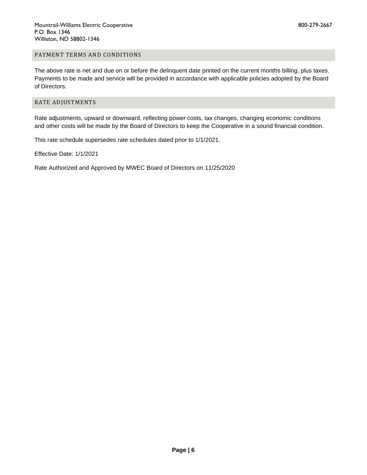# PAYMENT TERMS AND CONDITIONS

The above rate is net and due on or before the delinquent date printed on the current months billing, plus taxes. Payments to be made and service will be provided in accordance with applicable policies adopted by the Board of Directors.

# RATE ADJUSTMENTS

Rate adjustments, upward or downward, reflecting power costs, tax changes, changing economic conditions and other costs will be made by the Board of Directors to keep the Cooperative in a sound financial condition.

This rate schedule supersedes rate schedules dated prior to 1/1/2021.

Effective Date: 1/1/2021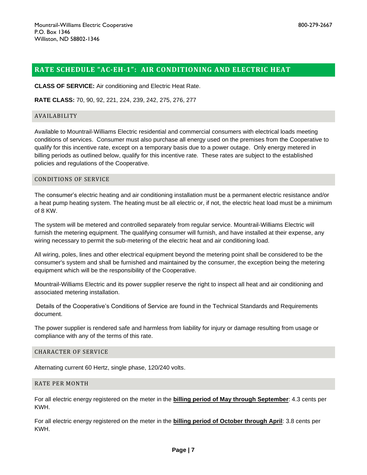# <span id="page-6-0"></span>**RATE SCHEDULE "AC-EH-1": AIR CONDITIONING AND ELECTRIC HEAT**

**CLASS OF SERVICE:** Air conditioning and Electric Heat Rate.

**RATE CLASS:** 70, 90, 92, 221, 224, 239, 242, 275, 276, 277

## AVAILABILITY

Available to Mountrail-Williams Electric residential and commercial consumers with electrical loads meeting conditions of services. Consumer must also purchase all energy used on the premises from the Cooperative to qualify for this incentive rate, except on a temporary basis due to a power outage. Only energy metered in billing periods as outlined below, qualify for this incentive rate. These rates are subject to the established policies and regulations of the Cooperative.

#### CONDITIONS OF SERVICE

The consumer's electric heating and air conditioning installation must be a permanent electric resistance and/or a heat pump heating system. The heating must be all electric or, if not, the electric heat load must be a minimum of 8 KW.

The system will be metered and controlled separately from regular service. Mountrail-Williams Electric will furnish the metering equipment. The qualifying consumer will furnish, and have installed at their expense, any wiring necessary to permit the sub-metering of the electric heat and air conditioning load.

All wiring, poles, lines and other electrical equipment beyond the metering point shall be considered to be the consumer's system and shall be furnished and maintained by the consumer, the exception being the metering equipment which will be the responsibility of the Cooperative.

Mountrail-Williams Electric and its power supplier reserve the right to inspect all heat and air conditioning and associated metering installation.

Details of the Cooperative's Conditions of Service are found in the Technical Standards and Requirements document.

The power supplier is rendered safe and harmless from liability for injury or damage resulting from usage or compliance with any of the terms of this rate.

# CHARACTER OF SERVICE

Alternating current 60 Hertz, single phase, 120/240 volts.

#### RATE PER MONTH

For all electric energy registered on the meter in the **billing period of May through September**: 4.3 cents per KWH.

For all electric energy registered on the meter in the **billing period of October through April**: 3.8 cents per KWH.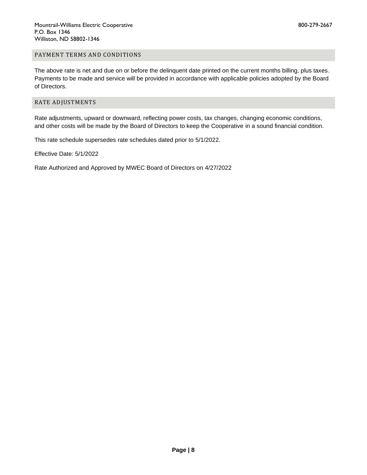# PAYMENT TERMS AND CONDITIONS

The above rate is net and due on or before the delinquent date printed on the current months billing, plus taxes. Payments to be made and service will be provided in accordance with applicable policies adopted by the Board of Directors.

# RATE ADJUSTMENTS

Rate adjustments, upward or downward, reflecting power costs, tax changes, changing economic conditions, and other costs will be made by the Board of Directors to keep the Cooperative in a sound financial condition.

This rate schedule supersedes rate schedules dated prior to 5/1/2022.

Effective Date: 5/1/2022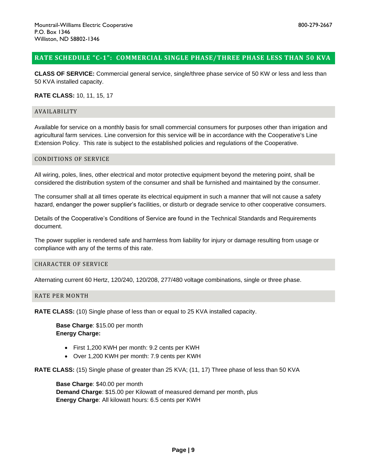# <span id="page-8-0"></span>**RATE SCHEDULE "C-1": COMMERCIAL SINGLE PHASE/THREE PHASE LESS THAN 50 KVA**

**CLASS OF SERVICE:** Commercial general service, single/three phase service of 50 KW or less and less than 50 KVA installed capacity.

# **RATE CLASS:** 10, 11, 15, 17

#### AVAILABILITY

Available for service on a monthly basis for small commercial consumers for purposes other than irrigation and agricultural farm services. Line conversion for this service will be in accordance with the Cooperative's Line Extension Policy. This rate is subject to the established policies and regulations of the Cooperative.

# CONDITIONS OF SERVICE

All wiring, poles, lines, other electrical and motor protective equipment beyond the metering point, shall be considered the distribution system of the consumer and shall be furnished and maintained by the consumer.

The consumer shall at all times operate its electrical equipment in such a manner that will not cause a safety hazard, endanger the power supplier's facilities, or disturb or degrade service to other cooperative consumers.

Details of the Cooperative's Conditions of Service are found in the Technical Standards and Requirements document.

The power supplier is rendered safe and harmless from liability for injury or damage resulting from usage or compliance with any of the terms of this rate.

#### CHARACTER OF SERVICE

Alternating current 60 Hertz, 120/240, 120/208, 277/480 voltage combinations, single or three phase.

# RATE PER MONTH

**RATE CLASS:** (10) Single phase of less than or equal to 25 KVA installed capacity.

**Base Charge**: \$15.00 per month **Energy Charge:**

- First 1,200 KWH per month: 9.2 cents per KWH
- Over 1,200 KWH per month: 7.9 cents per KWH

**RATE CLASS:** (15) Single phase of greater than 25 KVA; (11, 17) Three phase of less than 50 KVA

**Base Charge**: \$40.00 per month **Demand Charge**: \$15.00 per Kilowatt of measured demand per month, plus **Energy Charge**: All kilowatt hours: 6.5 cents per KWH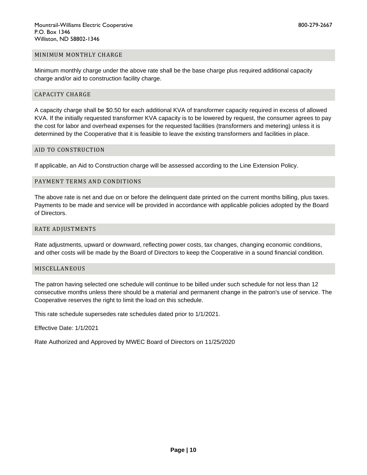#### MINIMUM MONTHLY CHARGE

Minimum monthly charge under the above rate shall be the base charge plus required additional capacity charge and/or aid to construction facility charge.

#### CAPACITY CHARGE

A capacity charge shall be \$0.50 for each additional KVA of transformer capacity required in excess of allowed KVA. If the initially requested transformer KVA capacity is to be lowered by request, the consumer agrees to pay the cost for labor and overhead expenses for the requested facilities (transformers and metering) unless it is determined by the Cooperative that it is feasible to leave the existing transformers and facilities in place.

#### AID TO CONSTRUCTION

If applicable, an Aid to Construction charge will be assessed according to the Line Extension Policy.

#### PAYMENT TERMS AND CONDITIONS

The above rate is net and due on or before the delinquent date printed on the current months billing, plus taxes. Payments to be made and service will be provided in accordance with applicable policies adopted by the Board of Directors.

#### RATE ADJUSTMENTS

Rate adjustments, upward or downward, reflecting power costs, tax changes, changing economic conditions, and other costs will be made by the Board of Directors to keep the Cooperative in a sound financial condition.

#### MISCELLANEOUS

The patron having selected one schedule will continue to be billed under such schedule for not less than 12 consecutive months unless there should be a material and permanent change in the patron's use of service. The Cooperative reserves the right to limit the load on this schedule.

This rate schedule supersedes rate schedules dated prior to 1/1/2021.

Effective Date: 1/1/2021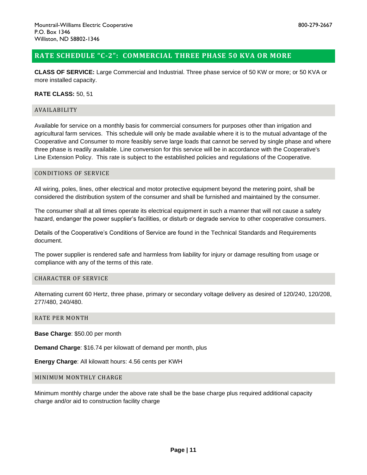# <span id="page-10-0"></span>**RATE SCHEDULE "C-2": COMMERCIAL THREE PHASE 50 KVA OR MORE**

**CLASS OF SERVICE:** Large Commercial and Industrial. Three phase service of 50 KW or more; or 50 KVA or more installed capacity.

**RATE CLASS:** 50, 51

#### AVAILABILITY

Available for service on a monthly basis for commercial consumers for purposes other than irrigation and agricultural farm services. This schedule will only be made available where it is to the mutual advantage of the Cooperative and Consumer to more feasibly serve large loads that cannot be served by single phase and where three phase is readily available. Line conversion for this service will be in accordance with the Cooperative's Line Extension Policy. This rate is subject to the established policies and regulations of the Cooperative.

#### CONDITIONS OF SERVICE

All wiring, poles, lines, other electrical and motor protective equipment beyond the metering point, shall be considered the distribution system of the consumer and shall be furnished and maintained by the consumer.

The consumer shall at all times operate its electrical equipment in such a manner that will not cause a safety hazard, endanger the power supplier's facilities, or disturb or degrade service to other cooperative consumers.

Details of the Cooperative's Conditions of Service are found in the Technical Standards and Requirements document.

The power supplier is rendered safe and harmless from liability for injury or damage resulting from usage or compliance with any of the terms of this rate.

# CHARACTER OF SERVICE

Alternating current 60 Hertz, three phase, primary or secondary voltage delivery as desired of 120/240, 120/208, 277/480, 240/480.

# RATE PER MONTH

**Base Charge**: \$50.00 per month

**Demand Charge**: \$16.74 per kilowatt of demand per month, plus

**Energy Charge**: All kilowatt hours: 4.56 cents per KWH

### MINIMUM MONTHLY CHARGE

Minimum monthly charge under the above rate shall be the base charge plus required additional capacity charge and/or aid to construction facility charge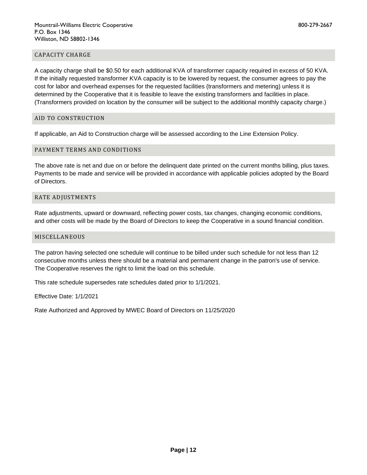# CAPACITY CHARGE

A capacity charge shall be \$0.50 for each additional KVA of transformer capacity required in excess of 50 KVA. If the initially requested transformer KVA capacity is to be lowered by request, the consumer agrees to pay the cost for labor and overhead expenses for the requested facilities (transformers and metering) unless it is determined by the Cooperative that it is feasible to leave the existing transformers and facilities in place. (Transformers provided on location by the consumer will be subject to the additional monthly capacity charge.)

#### AID TO CONSTRUCTION

If applicable, an Aid to Construction charge will be assessed according to the Line Extension Policy.

# PAYMENT TERMS AND CONDITIONS

The above rate is net and due on or before the delinquent date printed on the current months billing, plus taxes. Payments to be made and service will be provided in accordance with applicable policies adopted by the Board of Directors.

#### RATE ADJUSTMENTS

Rate adjustments, upward or downward, reflecting power costs, tax changes, changing economic conditions, and other costs will be made by the Board of Directors to keep the Cooperative in a sound financial condition.

#### MISCELLANEOUS

The patron having selected one schedule will continue to be billed under such schedule for not less than 12 consecutive months unless there should be a material and permanent change in the patron's use of service. The Cooperative reserves the right to limit the load on this schedule.

This rate schedule supersedes rate schedules dated prior to 1/1/2021.

Effective Date: 1/1/2021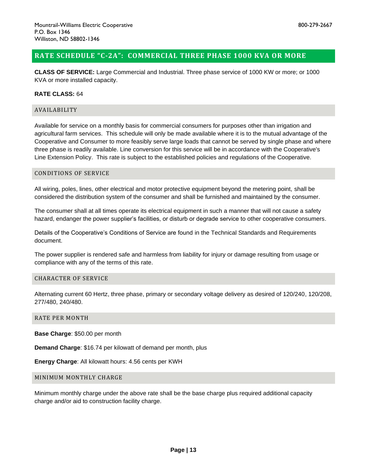# <span id="page-12-0"></span>**RATE SCHEDULE "C-2A": COMMERCIAL THREE PHASE 1000 KVA OR MORE**

**CLASS OF SERVICE:** Large Commercial and Industrial. Three phase service of 1000 KW or more; or 1000 KVA or more installed capacity.

# **RATE CLASS:** 64

# AVAILABILITY

Available for service on a monthly basis for commercial consumers for purposes other than irrigation and agricultural farm services. This schedule will only be made available where it is to the mutual advantage of the Cooperative and Consumer to more feasibly serve large loads that cannot be served by single phase and where three phase is readily available. Line conversion for this service will be in accordance with the Cooperative's Line Extension Policy. This rate is subject to the established policies and regulations of the Cooperative.

#### CONDITIONS OF SERVICE

All wiring, poles, lines, other electrical and motor protective equipment beyond the metering point, shall be considered the distribution system of the consumer and shall be furnished and maintained by the consumer.

The consumer shall at all times operate its electrical equipment in such a manner that will not cause a safety hazard, endanger the power supplier's facilities, or disturb or degrade service to other cooperative consumers.

Details of the Cooperative's Conditions of Service are found in the Technical Standards and Requirements document.

The power supplier is rendered safe and harmless from liability for injury or damage resulting from usage or compliance with any of the terms of this rate.

# CHARACTER OF SERVICE

Alternating current 60 Hertz, three phase, primary or secondary voltage delivery as desired of 120/240, 120/208, 277/480, 240/480.

# RATE PER MONTH

**Base Charge**: \$50.00 per month

**Demand Charge**: \$16.74 per kilowatt of demand per month, plus

**Energy Charge**: All kilowatt hours: 4.56 cents per KWH

### MINIMUM MONTHLY CHARGE

Minimum monthly charge under the above rate shall be the base charge plus required additional capacity charge and/or aid to construction facility charge.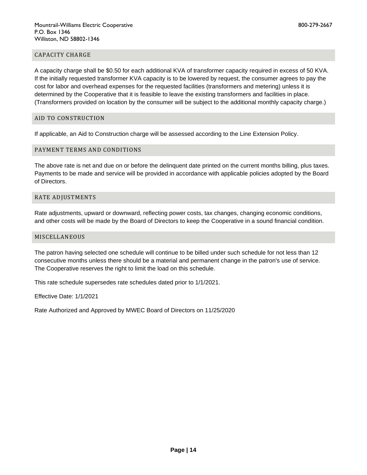# CAPACITY CHARGE

A capacity charge shall be \$0.50 for each additional KVA of transformer capacity required in excess of 50 KVA. If the initially requested transformer KVA capacity is to be lowered by request, the consumer agrees to pay the cost for labor and overhead expenses for the requested facilities (transformers and metering) unless it is determined by the Cooperative that it is feasible to leave the existing transformers and facilities in place. (Transformers provided on location by the consumer will be subject to the additional monthly capacity charge.)

# AID TO CONSTRUCTION

If applicable, an Aid to Construction charge will be assessed according to the Line Extension Policy.

# PAYMENT TERMS AND CONDITIONS

The above rate is net and due on or before the delinquent date printed on the current months billing, plus taxes. Payments to be made and service will be provided in accordance with applicable policies adopted by the Board of Directors.

#### RATE ADJUSTMENTS

Rate adjustments, upward or downward, reflecting power costs, tax changes, changing economic conditions, and other costs will be made by the Board of Directors to keep the Cooperative in a sound financial condition.

#### MISCELLANEOUS

The patron having selected one schedule will continue to be billed under such schedule for not less than 12 consecutive months unless there should be a material and permanent change in the patron's use of service. The Cooperative reserves the right to limit the load on this schedule.

This rate schedule supersedes rate schedules dated prior to 1/1/2021.

Effective Date: 1/1/2021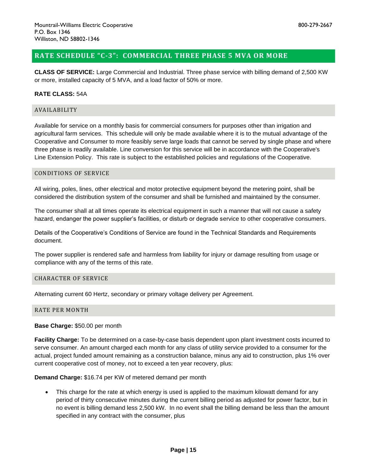# <span id="page-14-0"></span>**RATE SCHEDULE "C-3": COMMERCIAL THREE PHASE 5 MVA OR MORE**

**CLASS OF SERVICE:** Large Commercial and Industrial. Three phase service with billing demand of 2,500 KW or more, installed capacity of 5 MVA, and a load factor of 50% or more.

# **RATE CLASS:** 54A

# AVAILABILITY

Available for service on a monthly basis for commercial consumers for purposes other than irrigation and agricultural farm services. This schedule will only be made available where it is to the mutual advantage of the Cooperative and Consumer to more feasibly serve large loads that cannot be served by single phase and where three phase is readily available. Line conversion for this service will be in accordance with the Cooperative's Line Extension Policy. This rate is subject to the established policies and regulations of the Cooperative.

#### CONDITIONS OF SERVICE

All wiring, poles, lines, other electrical and motor protective equipment beyond the metering point, shall be considered the distribution system of the consumer and shall be furnished and maintained by the consumer.

The consumer shall at all times operate its electrical equipment in such a manner that will not cause a safety hazard, endanger the power supplier's facilities, or disturb or degrade service to other cooperative consumers.

Details of the Cooperative's Conditions of Service are found in the Technical Standards and Requirements document.

The power supplier is rendered safe and harmless from liability for injury or damage resulting from usage or compliance with any of the terms of this rate.

# CHARACTER OF SERVICE

Alternating current 60 Hertz, secondary or primary voltage delivery per Agreement.

# RATE PER MONTH

**Base Charge:** \$50.00 per month

**Facility Charge:** To be determined on a case-by-case basis dependent upon plant investment costs incurred to serve consumer. An amount charged each month for any class of utility service provided to a consumer for the actual, project funded amount remaining as a construction balance, minus any aid to construction, plus 1% over current cooperative cost of money, not to exceed a ten year recovery, plus:

**Demand Charge:** \$16.74 per KW of metered demand per month

• This charge for the rate at which energy is used is applied to the maximum kilowatt demand for any period of thirty consecutive minutes during the current billing period as adjusted for power factor, but in no event is billing demand less 2,500 kW. In no event shall the billing demand be less than the amount specified in any contract with the consumer, plus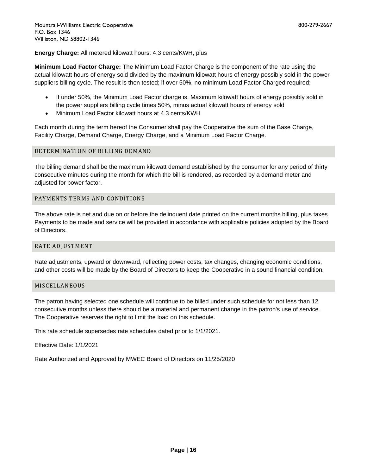**Energy Charge:** All metered kilowatt hours: 4.3 cents/KWH, plus

**Minimum Load Factor Charge:** The Minimum Load Factor Charge is the component of the rate using the actual kilowatt hours of energy sold divided by the maximum kilowatt hours of energy possibly sold in the power suppliers billing cycle. The result is then tested; if over 50%, no minimum Load Factor Charged required;

- If under 50%, the Minimum Load Factor charge is, Maximum kilowatt hours of energy possibly sold in the power suppliers billing cycle times 50%, minus actual kilowatt hours of energy sold
- Minimum Load Factor kilowatt hours at 4.3 cents/KWH

Each month during the term hereof the Consumer shall pay the Cooperative the sum of the Base Charge, Facility Charge, Demand Charge, Energy Charge, and a Minimum Load Factor Charge.

# DETERMINATION OF BILLING DEMAND

The billing demand shall be the maximum kilowatt demand established by the consumer for any period of thirty consecutive minutes during the month for which the bill is rendered, as recorded by a demand meter and adjusted for power factor.

# PAYMENTS TERMS AND CONDITIONS

The above rate is net and due on or before the delinquent date printed on the current months billing, plus taxes. Payments to be made and service will be provided in accordance with applicable policies adopted by the Board of Directors.

# RATE ADJUSTMENT

Rate adjustments, upward or downward, reflecting power costs, tax changes, changing economic conditions, and other costs will be made by the Board of Directors to keep the Cooperative in a sound financial condition.

# MISCELLANEOUS

The patron having selected one schedule will continue to be billed under such schedule for not less than 12 consecutive months unless there should be a material and permanent change in the patron's use of service. The Cooperative reserves the right to limit the load on this schedule.

This rate schedule supersedes rate schedules dated prior to 1/1/2021.

Effective Date: 1/1/2021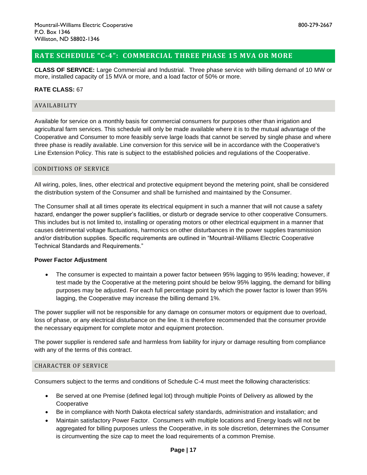# <span id="page-16-0"></span>**RATE SCHEDULE "C-4": COMMERCIAL THREE PHASE 15 MVA OR MORE**

**CLASS OF SERVICE:** Large Commercial and Industrial. Three phase service with billing demand of 10 MW or more, installed capacity of 15 MVA or more, and a load factor of 50% or more.

# **RATE CLASS:** 67

# AVAILABILITY

Available for service on a monthly basis for commercial consumers for purposes other than irrigation and agricultural farm services. This schedule will only be made available where it is to the mutual advantage of the Cooperative and Consumer to more feasibly serve large loads that cannot be served by single phase and where three phase is readily available. Line conversion for this service will be in accordance with the Cooperative's Line Extension Policy. This rate is subject to the established policies and regulations of the Cooperative.

# CONDITIONS OF SERVICE

All wiring, poles, lines, other electrical and protective equipment beyond the metering point, shall be considered the distribution system of the Consumer and shall be furnished and maintained by the Consumer.

The Consumer shall at all times operate its electrical equipment in such a manner that will not cause a safety hazard, endanger the power supplier's facilities, or disturb or degrade service to other cooperative Consumers. This includes but is not limited to, installing or operating motors or other electrical equipment in a manner that causes detrimental voltage fluctuations, harmonics on other disturbances in the power supplies transmission and/or distribution supplies. Specific requirements are outlined in "Mountrail-Williams Electric Cooperative Technical Standards and Requirements."

# **Power Factor Adjustment**

• The consumer is expected to maintain a power factor between 95% lagging to 95% leading; however, if test made by the Cooperative at the metering point should be below 95% lagging, the demand for billing purposes may be adjusted. For each full percentage point by which the power factor is lower than 95% lagging, the Cooperative may increase the billing demand 1%.

The power supplier will not be responsible for any damage on consumer motors or equipment due to overload, loss of phase, or any electrical disturbance on the line. It is therefore recommended that the consumer provide the necessary equipment for complete motor and equipment protection.

The power supplier is rendered safe and harmless from liability for injury or damage resulting from compliance with any of the terms of this contract.

# CHARACTER OF SERVICE

Consumers subject to the terms and conditions of Schedule C-4 must meet the following characteristics:

- Be served at one Premise (defined legal lot) through multiple Points of Delivery as allowed by the Cooperative
- Be in compliance with North Dakota electrical safety standards, administration and installation; and
- Maintain satisfactory Power Factor. Consumers with multiple locations and Energy loads will not be aggregated for billing purposes unless the Cooperative, in its sole discretion, determines the Consumer is circumventing the size cap to meet the load requirements of a common Premise.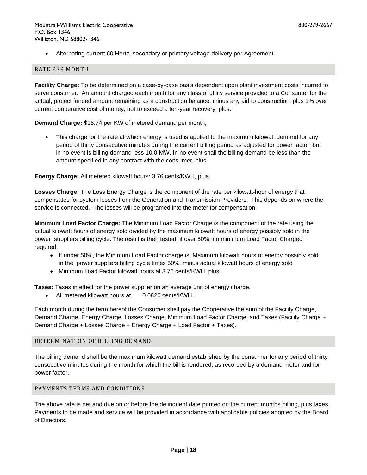• Alternating current 60 Hertz, secondary or primary voltage delivery per Agreement.

# RATE PER MONTH

**Facility Charge:** To be determined on a case-by-case basis dependent upon plant investment costs incurred to serve consumer. An amount charged each month for any class of utility service provided to a Consumer for the actual, project funded amount remaining as a construction balance, minus any aid to construction, plus 1% over current cooperative cost of money, not to exceed a ten-year recovery, plus:

**Demand Charge:** \$16.74 per KW of metered demand per month,

• This charge for the rate at which energy is used is applied to the maximum kilowatt demand for any period of thirty consecutive minutes during the current billing period as adjusted for power factor, but in no event is billing demand less 10.0 MW. In no event shall the billing demand be less than the amount specified in any contract with the consumer, plus

# **Energy Charge:** All metered kilowatt hours: 3.76 cents/KWH, plus

**Losses Charge:** The Loss Energy Charge is the component of the rate per kilowatt-hour of energy that compensates for system losses from the Generation and Transmission Providers. This depends on where the service is connected. The losses will be programed into the meter for compensation.

**Minimum Load Factor Charge:** The Minimum Load Factor Charge is the component of the rate using the actual kilowatt hours of energy sold divided by the maximum kilowatt hours of energy possibly sold in the power suppliers billing cycle. The result is then tested; if over 50%, no minimum Load Factor Charged required.

- If under 50%, the Minimum Load Factor charge is, Maximum kilowatt hours of energy possibly sold in the power suppliers billing cycle times 50%, minus actual kilowatt hours of energy sold
- Minimum Load Factor kilowatt hours at 3.76 cents/KWH, plus

**Taxes:** Taxes in effect for the power supplier on an average unit of energy charge.

• All metered kilowatt hours at 0.0820 cents/KWH,

Each month during the term hereof the Consumer shall pay the Cooperative the sum of the Facility Charge, Demand Charge, Energy Charge, Losses Charge, Minimum Load Factor Charge, and Taxes (Facility Charge + Demand Charge + Losses Charge + Energy Charge + Load Factor + Taxes).

# DETERMINATION OF BILLING DEMAND

The billing demand shall be the maximum kilowatt demand established by the consumer for any period of thirty consecutive minutes during the month for which the bill is rendered, as recorded by a demand meter and for power factor.

# PAYMENTS TERMS AND CONDITIONS

The above rate is net and due on or before the delinquent date printed on the current months billing, plus taxes. Payments to be made and service will be provided in accordance with applicable policies adopted by the Board of Directors.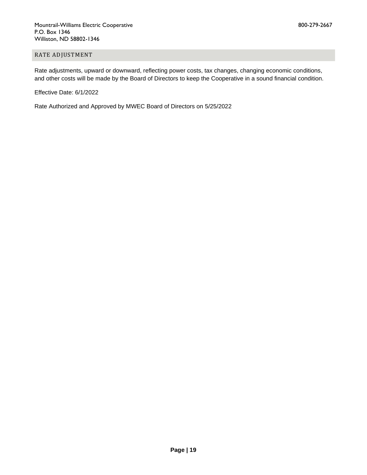# RATE ADJUSTMENT

Rate adjustments, upward or downward, reflecting power costs, tax changes, changing economic conditions, and other costs will be made by the Board of Directors to keep the Cooperative in a sound financial condition.

Effective Date: 6/1/2022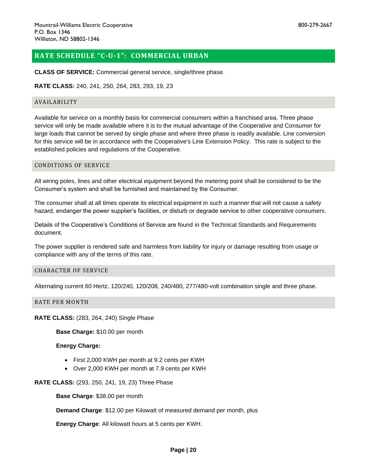<span id="page-19-0"></span>**CLASS OF SERVICE:** Commercial general service, single/three phase.

**RATE CLASS:** 240, 241, 250, 264, 283, 293, 19, 23

#### AVAILABILITY

Available for service on a monthly basis for commercial consumers within a franchised area. Three phase service will only be made available where it is to the mutual advantage of the Cooperative and Consumer for large loads that cannot be served by single phase and where three phase is readily available. Line conversion for this service will be in accordance with the Cooperative's Line Extension Policy. This rate is subject to the established policies and regulations of the Cooperative.

# CONDITIONS OF SERVICE

All wiring poles, lines and other electrical equipment beyond the metering point shall be considered to be the Consumer's system and shall be furnished and maintained by the Consumer.

The consumer shall at all times operate its electrical equipment in such a manner that will not cause a safety hazard, endanger the power supplier's facilities, or disturb or degrade service to other cooperative consumers.

Details of the Cooperative's Conditions of Service are found in the Technical Standards and Requirements document.

The power supplier is rendered safe and harmless from liability for injury or damage resulting from usage or compliance with any of the terms of this rate.

#### CHARACTER OF SERVICE

Alternating current 60 Hertz, 120/240, 120/208, 240/480, 277/480-volt combination single and three phase.

#### RATE PER MONTH

**RATE CLASS:** (283, 264, 240) Single Phase

**Base Charge:** \$10.00 per month

# **Energy Charge:**

- First 2,000 KWH per month at 9.2 cents per KWH
- Over 2,000 KWH per month at 7.9 cents per KWH

**RATE CLASS:** (293, 250, 241, 19, 23) Three Phase

**Base Charge**: \$38.00 per month

**Demand Charge**: \$12.00 per Kilowatt of measured demand per month, plus

**Energy Charge**: All kilowatt hours at 5 cents per KWH.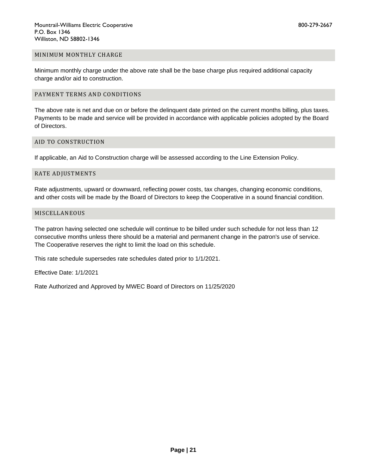#### MINIMUM MONTHLY CHARGE

Minimum monthly charge under the above rate shall be the base charge plus required additional capacity charge and/or aid to construction.

# PAYMENT TERMS AND CONDITIONS

The above rate is net and due on or before the delinquent date printed on the current months billing, plus taxes. Payments to be made and service will be provided in accordance with applicable policies adopted by the Board of Directors.

# AID TO CONSTRUCTION

If applicable, an Aid to Construction charge will be assessed according to the Line Extension Policy.

#### RATE ADJUSTMENTS

Rate adjustments, upward or downward, reflecting power costs, tax changes, changing economic conditions, and other costs will be made by the Board of Directors to keep the Cooperative in a sound financial condition.

#### MISCELLANEOUS

The patron having selected one schedule will continue to be billed under such schedule for not less than 12 consecutive months unless there should be a material and permanent change in the patron's use of service. The Cooperative reserves the right to limit the load on this schedule.

This rate schedule supersedes rate schedules dated prior to 1/1/2021.

Effective Date: 1/1/2021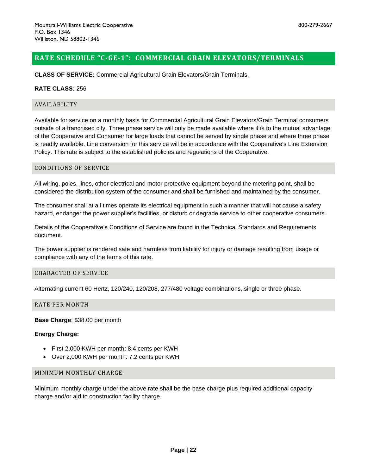# <span id="page-21-0"></span>**RATE SCHEDULE "C-GE-1": COMMERCIAL GRAIN ELEVATORS/TERMINALS**

**CLASS OF SERVICE:** Commercial Agricultural Grain Elevators/Grain Terminals.

# **RATE CLASS:** 256

#### AVAILABILITY

Available for service on a monthly basis for Commercial Agricultural Grain Elevators/Grain Terminal consumers outside of a franchised city. Three phase service will only be made available where it is to the mutual advantage of the Cooperative and Consumer for large loads that cannot be served by single phase and where three phase is readily available. Line conversion for this service will be in accordance with the Cooperative's Line Extension Policy. This rate is subject to the established policies and regulations of the Cooperative.

#### CONDITIONS OF SERVICE

All wiring, poles, lines, other electrical and motor protective equipment beyond the metering point, shall be considered the distribution system of the consumer and shall be furnished and maintained by the consumer.

The consumer shall at all times operate its electrical equipment in such a manner that will not cause a safety hazard, endanger the power supplier's facilities, or disturb or degrade service to other cooperative consumers.

Details of the Cooperative's Conditions of Service are found in the Technical Standards and Requirements document.

The power supplier is rendered safe and harmless from liability for injury or damage resulting from usage or compliance with any of the terms of this rate.

#### CHARACTER OF SERVICE

Alternating current 60 Hertz, 120/240, 120/208, 277/480 voltage combinations, single or three phase.

#### RATE PER MONTH

**Base Charge**: \$38.00 per month

# **Energy Charge:**

- First 2,000 KWH per month: 8.4 cents per KWH
- Over 2,000 KWH per month: 7.2 cents per KWH

# MINIMUM MONTHLY CHARGE

Minimum monthly charge under the above rate shall be the base charge plus required additional capacity charge and/or aid to construction facility charge.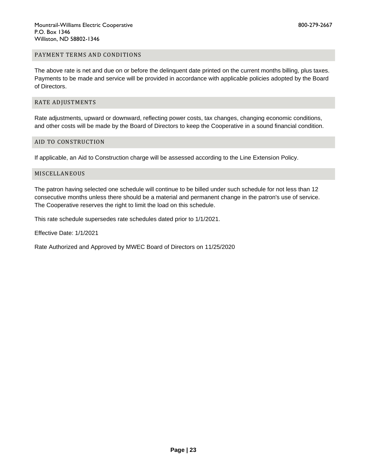# PAYMENT TERMS AND CONDITIONS

The above rate is net and due on or before the delinquent date printed on the current months billing, plus taxes. Payments to be made and service will be provided in accordance with applicable policies adopted by the Board of Directors.

# RATE ADJUSTMENTS

Rate adjustments, upward or downward, reflecting power costs, tax changes, changing economic conditions, and other costs will be made by the Board of Directors to keep the Cooperative in a sound financial condition.

# AID TO CONSTRUCTION

If applicable, an Aid to Construction charge will be assessed according to the Line Extension Policy.

#### MISCELLANEOUS

The patron having selected one schedule will continue to be billed under such schedule for not less than 12 consecutive months unless there should be a material and permanent change in the patron's use of service. The Cooperative reserves the right to limit the load on this schedule.

This rate schedule supersedes rate schedules dated prior to 1/1/2021.

Effective Date: 1/1/2021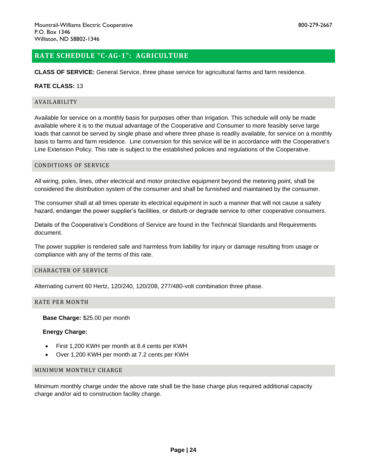# <span id="page-23-0"></span>**RATE SCHEDULE "C-AG-1": AGRICULTURE**

**CLASS OF SERVICE:** General Service, three phase service for agricultural farms and farm residence.

# **RATE CLASS:** 13

#### AVAILABILITY

Available for service on a monthly basis for purposes other than irrigation. This schedule will only be made available where it is to the mutual advantage of the Cooperative and Consumer to more feasibly serve large loads that cannot be served by single phase and where three phase is readily available, for service on a monthly basis to farms and farm residence. Line conversion for this service will be in accordance with the Cooperative's Line Extension Policy. This rate is subject to the established policies and regulations of the Cooperative.

# CONDITIONS OF SERVICE

All wiring, poles, lines, other electrical and motor protective equipment beyond the metering point, shall be considered the distribution system of the consumer and shall be furnished and maintained by the consumer.

The consumer shall at all times operate its electrical equipment in such a manner that will not cause a safety hazard, endanger the power supplier's facilities, or disturb or degrade service to other cooperative consumers.

Details of the Cooperative's Conditions of Service are found in the Technical Standards and Requirements document.

The power supplier is rendered safe and harmless from liability for injury or damage resulting from usage or compliance with any of the terms of this rate.

#### CHARACTER OF SERVICE

Alternating current 60 Hertz, 120/240, 120/208, 277/480-volt combination three phase.

#### RATE PER MONTH

**Base Charge:** \$25.00 per month

# **Energy Charge:**

- First 1,200 KWH per month at 8.4 cents per KWH
- Over 1,200 KWH per month at 7.2 cents per KWH

#### MINIMUM MONTHLY CHARGE

Minimum monthly charge under the above rate shall be the base charge plus required additional capacity charge and/or aid to construction facility charge.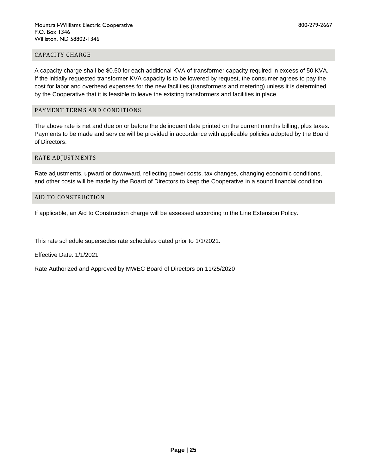# CAPACITY CHARGE

A capacity charge shall be \$0.50 for each additional KVA of transformer capacity required in excess of 50 KVA. If the initially requested transformer KVA capacity is to be lowered by request, the consumer agrees to pay the cost for labor and overhead expenses for the new facilities (transformers and metering) unless it is determined by the Cooperative that it is feasible to leave the existing transformers and facilities in place.

# PAYMENT TERMS AND CONDITIONS

The above rate is net and due on or before the delinquent date printed on the current months billing, plus taxes. Payments to be made and service will be provided in accordance with applicable policies adopted by the Board of Directors.

#### RATE ADJUSTMENTS

Rate adjustments, upward or downward, reflecting power costs, tax changes, changing economic conditions, and other costs will be made by the Board of Directors to keep the Cooperative in a sound financial condition.

#### AID TO CONSTRUCTION

If applicable, an Aid to Construction charge will be assessed according to the Line Extension Policy.

This rate schedule supersedes rate schedules dated prior to 1/1/2021.

Effective Date: 1/1/2021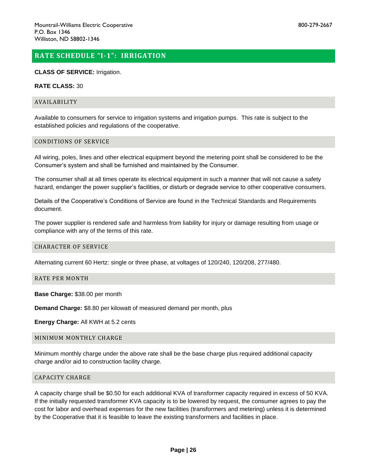# <span id="page-25-0"></span>**RATE SCHEDULE "I-1": IRRIGATION**

#### **CLASS OF SERVICE:** Irrigation.

#### **RATE CLASS:** 30

#### AVAILABILITY

Available to consumers for service to irrigation systems and irrigation pumps. This rate is subject to the established policies and regulations of the cooperative.

#### CONDITIONS OF SERVICE

All wiring, poles, lines and other electrical equipment beyond the metering point shall be considered to be the Consumer's system and shall be furnished and maintained by the Consumer.

The consumer shall at all times operate its electrical equipment in such a manner that will not cause a safety hazard, endanger the power supplier's facilities, or disturb or degrade service to other cooperative consumers.

Details of the Cooperative's Conditions of Service are found in the Technical Standards and Requirements document.

The power supplier is rendered safe and harmless from liability for injury or damage resulting from usage or compliance with any of the terms of this rate.

#### CHARACTER OF SERVICE

Alternating current 60 Hertz: single or three phase, at voltages of 120/240, 120/208, 277/480.

# RATE PER MONTH

**Base Charge:** \$38.00 per month

**Demand Charge:** \$8.80 per kilowatt of measured demand per month, plus

**Energy Charge:** All KWH at 5.2 cents

# MINIMUM MONTHLY CHARGE

Minimum monthly charge under the above rate shall be the base charge plus required additional capacity charge and/or aid to construction facility charge.

# CAPACITY CHARGE

A capacity charge shall be \$0.50 for each additional KVA of transformer capacity required in excess of 50 KVA. If the initially requested transformer KVA capacity is to be lowered by request, the consumer agrees to pay the cost for labor and overhead expenses for the new facilities (transformers and metering) unless it is determined by the Cooperative that it is feasible to leave the existing transformers and facilities in place.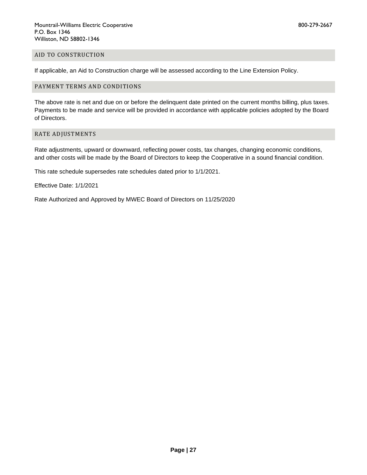#### AID TO CONSTRUCTION

If applicable, an Aid to Construction charge will be assessed according to the Line Extension Policy.

# PAYMENT TERMS AND CONDITIONS

The above rate is net and due on or before the delinquent date printed on the current months billing, plus taxes. Payments to be made and service will be provided in accordance with applicable policies adopted by the Board of Directors.

## RATE ADJUSTMENTS

Rate adjustments, upward or downward, reflecting power costs, tax changes, changing economic conditions, and other costs will be made by the Board of Directors to keep the Cooperative in a sound financial condition.

This rate schedule supersedes rate schedules dated prior to 1/1/2021.

Effective Date: 1/1/2021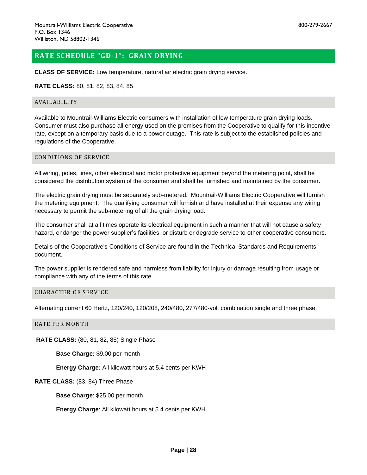# <span id="page-27-0"></span>**RATE SCHEDULE "GD-1": GRAIN DRYING**

**CLASS OF SERVICE:** Low temperature, natural air electric grain drying service.

#### **RATE CLASS:** 80, 81, 82, 83, 84, 85

#### AVAILABILITY

Available to Mountrail-Williams Electric consumers with installation of low temperature grain drying loads. Consumer must also purchase all energy used on the premises from the Cooperative to qualify for this incentive rate, except on a temporary basis due to a power outage. This rate is subject to the established policies and regulations of the Cooperative.

#### CONDITIONS OF SERVICE

All wiring, poles, lines, other electrical and motor protective equipment beyond the metering point, shall be considered the distribution system of the consumer and shall be furnished and maintained by the consumer.

The electric grain drying must be separately sub-metered. Mountrail-Williams Electric Cooperative will furnish the metering equipment. The qualifying consumer will furnish and have installed at their expense any wiring necessary to permit the sub-metering of all the grain drying load.

The consumer shall at all times operate its electrical equipment in such a manner that will not cause a safety hazard, endanger the power supplier's facilities, or disturb or degrade service to other cooperative consumers.

Details of the Cooperative's Conditions of Service are found in the Technical Standards and Requirements document.

The power supplier is rendered safe and harmless from liability for injury or damage resulting from usage or compliance with any of the terms of this rate.

#### CHARACTER OF SERVICE

Alternating current 60 Hertz, 120/240, 120/208, 240/480, 277/480-volt combination single and three phase.

#### RATE PER MONTH

**RATE CLASS:** (80, 81, 82, 85) Single Phase

**Base Charge:** \$9.00 per month

**Energy Charge:** All kilowatt hours at 5.4 cents per KWH

#### **RATE CLASS:** (83, 84) Three Phase

**Base Charge**: \$25.00 per month

**Energy Charge**: All kilowatt hours at 5.4 cents per KWH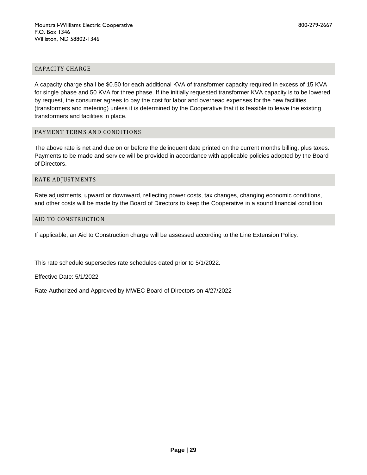## CAPACITY CHARGE

A capacity charge shall be \$0.50 for each additional KVA of transformer capacity required in excess of 15 KVA for single phase and 50 KVA for three phase. If the initially requested transformer KVA capacity is to be lowered by request, the consumer agrees to pay the cost for labor and overhead expenses for the new facilities (transformers and metering) unless it is determined by the Cooperative that it is feasible to leave the existing transformers and facilities in place.

# PAYMENT TERMS AND CONDITIONS

The above rate is net and due on or before the delinquent date printed on the current months billing, plus taxes. Payments to be made and service will be provided in accordance with applicable policies adopted by the Board of Directors.

#### RATE ADJUSTMENTS

Rate adjustments, upward or downward, reflecting power costs, tax changes, changing economic conditions, and other costs will be made by the Board of Directors to keep the Cooperative in a sound financial condition.

#### AID TO CONSTRUCTION

If applicable, an Aid to Construction charge will be assessed according to the Line Extension Policy.

This rate schedule supersedes rate schedules dated prior to 5/1/2022.

Effective Date: 5/1/2022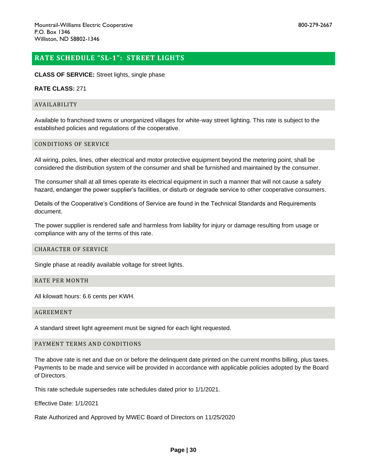# <span id="page-29-0"></span>**RATE SCHEDULE "SL-1": STREET LIGHTS**

#### **CLASS OF SERVICE:** Street lights, single phase

## **RATE CLASS:** 271

#### AVAILABILITY

Available to franchised towns or unorganized villages for white-way street lighting. This rate is subject to the established policies and regulations of the cooperative.

#### CONDITIONS OF SERVICE

All wiring, poles, lines, other electrical and motor protective equipment beyond the metering point, shall be considered the distribution system of the consumer and shall be furnished and maintained by the consumer.

The consumer shall at all times operate its electrical equipment in such a manner that will not cause a safety hazard, endanger the power supplier's facilities, or disturb or degrade service to other cooperative consumers.

Details of the Cooperative's Conditions of Service are found in the Technical Standards and Requirements document.

The power supplier is rendered safe and harmless from liability for injury or damage resulting from usage or compliance with any of the terms of this rate.

#### CHARACTER OF SERVICE

Single phase at readily available voltage for street lights.

# RATE PER MONTH

All kilowatt hours: 6.6 cents per KWH.

#### AGREEMENT

A standard street light agreement must be signed for each light requested.

#### PAYMENT TERMS AND CONDITIONS

The above rate is net and due on or before the delinquent date printed on the current months billing, plus taxes. Payments to be made and service will be provided in accordance with applicable policies adopted by the Board of Directors.

This rate schedule supersedes rate schedules dated prior to 1/1/2021.

Effective Date: 1/1/2021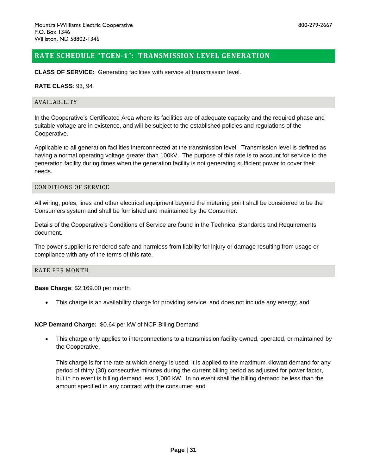# <span id="page-30-0"></span>**RATE SCHEDULE "TGEN-1": TRANSMISSION LEVEL GENERATION**

**CLASS OF SERVICE:** Generating facilities with service at transmission level.

## **RATE CLASS**: 93, 94

#### AVAILABILITY

In the Cooperative's Certificated Area where its facilities are of adequate capacity and the required phase and suitable voltage are in existence, and will be subject to the established policies and regulations of the Cooperative.

Applicable to all generation facilities interconnected at the transmission level. Transmission level is defined as having a normal operating voltage greater than 100kV. The purpose of this rate is to account for service to the generation facility during times when the generation facility is not generating sufficient power to cover their needs.

#### CONDITIONS OF SERVICE

All wiring, poles, lines and other electrical equipment beyond the metering point shall be considered to be the Consumers system and shall be furnished and maintained by the Consumer.

Details of the Cooperative's Conditions of Service are found in the Technical Standards and Requirements document.

The power supplier is rendered safe and harmless from liability for injury or damage resulting from usage or compliance with any of the terms of this rate.

# RATE PER MONTH

**Base Charge**: \$2,169.00 per month

• This charge is an availability charge for providing service. and does not include any energy; and

# **NCP Demand Charge:** \$0.64 per kW of NCP Billing Demand

• This charge only applies to interconnections to a transmission facility owned, operated, or maintained by the Cooperative.

This charge is for the rate at which energy is used; it is applied to the maximum kilowatt demand for any period of thirty (30) consecutive minutes during the current billing period as adjusted for power factor, but in no event is billing demand less 1,000 kW. In no event shall the billing demand be less than the amount specified in any contract with the consumer; and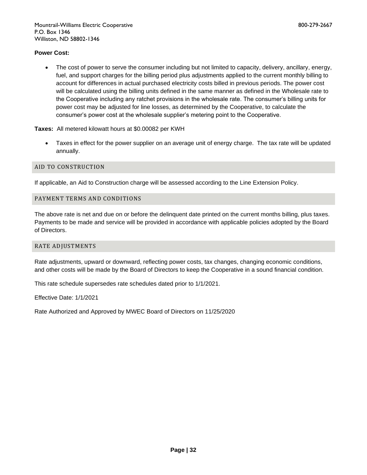# **Power Cost:**

• The cost of power to serve the consumer including but not limited to capacity, delivery, ancillary, energy, fuel, and support charges for the billing period plus adjustments applied to the current monthly billing to account for differences in actual purchased electricity costs billed in previous periods. The power cost will be calculated using the billing units defined in the same manner as defined in the Wholesale rate to the Cooperative including any ratchet provisions in the wholesale rate. The consumer's billing units for power cost may be adjusted for line losses, as determined by the Cooperative, to calculate the consumer's power cost at the wholesale supplier's metering point to the Cooperative.

**Taxes:** All metered kilowatt hours at \$0.00082 per KWH

• Taxes in effect for the power supplier on an average unit of energy charge. The tax rate will be updated annually.

# AID TO CONSTRUCTION

If applicable, an Aid to Construction charge will be assessed according to the Line Extension Policy.

# PAYMENT TERMS AND CONDITIONS

The above rate is net and due on or before the delinquent date printed on the current months billing, plus taxes. Payments to be made and service will be provided in accordance with applicable policies adopted by the Board of Directors.

# RATE ADJUSTMENTS

Rate adjustments, upward or downward, reflecting power costs, tax changes, changing economic conditions, and other costs will be made by the Board of Directors to keep the Cooperative in a sound financial condition.

This rate schedule supersedes rate schedules dated prior to 1/1/2021.

Effective Date: 1/1/2021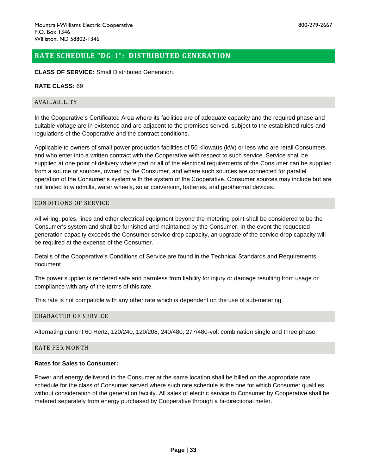# <span id="page-32-0"></span>**RATE SCHEDULE "DG-1": DISTRIBUTED GENERATION**

## **CLASS OF SERVICE:** Small Distributed Generation.

## **RATE CLASS:** 69

#### AVAILABILITY

In the Cooperative's Certificated Area where its facilities are of adequate capacity and the required phase and suitable voltage are in existence and are adjacent to the premises served, subject to the established rules and regulations of the Cooperative and the contract conditions.

Applicable to owners of small power production facilities of 50 kilowatts (kW) or less who are retail Consumers and who enter into a written contract with the Cooperative with respect to such service. Service shall be supplied at one point of delivery where part or all of the electrical requirements of the Consumer can be supplied from a source or sources, owned by the Consumer, and where such sources are connected for parallel operation of the Consumer's system with the system of the Cooperative. Consumer sources may include but are not limited to windmills, water wheels, solar conversion, batteries, and geothermal devices.

#### CONDITIONS OF SERVICE

All wiring, poles, lines and other electrical equipment beyond the metering point shall be considered to be the Consumer's system and shall be furnished and maintained by the Consumer. In the event the requested generation capacity exceeds the Consumer service drop capacity, an upgrade of the service drop capacity will be required at the expense of the Consumer.

Details of the Cooperative's Conditions of Service are found in the Technical Standards and Requirements document.

The power supplier is rendered safe and harmless from liability for injury or damage resulting from usage or compliance with any of the terms of this rate.

This rate is not compatible with any other rate which is dependent on the use of sub-metering.

#### CHARACTER OF SERVICE

Alternating current 60 Hertz, 120/240, 120/208, 240/480, 277/480-volt combination single and three phase.

# RATE PER MONTH

# **Rates for Sales to Consumer:**

Power and energy delivered to the Consumer at the same location shall be billed on the appropriate rate schedule for the class of Consumer served where such rate schedule is the one for which Consumer qualifies without consideration of the generation facility. All sales of electric service to Consumer by Cooperative shall be metered separately from energy purchased by Cooperative through a bi-directional meter.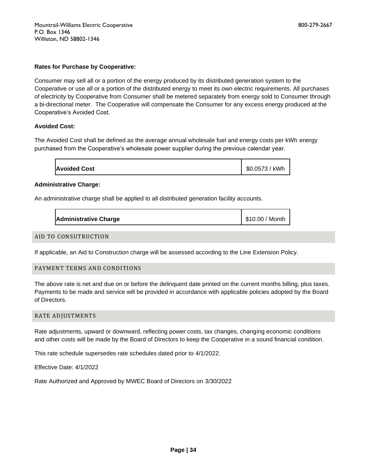Consumer may sell all or a portion of the energy produced by its distributed generation system to the Cooperative or use all or a portion of the distributed energy to meet its own electric requirements. All purchases of electricity by Cooperative from Consumer shall be metered separately from energy sold to Consumer through a bi-directional meter. The Cooperative will compensate the Consumer for any excess energy produced at the Cooperative's Avoided Cost.

# **Avoided Cost:**

The Avoided Cost shall be defined as the average annual wholesale fuel and energy costs per kWh energy purchased from the Cooperative's wholesale power supplier during the previous calendar year.

| <b>Avoided Cost</b> | \$0.0573 / kWh |
|---------------------|----------------|
|---------------------|----------------|

# **Administrative Charge:**

An administrative charge shall be applied to all distributed generation facility accounts.

| <b>Administrative Charge</b> | \$10.00 / Month |
|------------------------------|-----------------|
|------------------------------|-----------------|

# AID TO CONSUTRUCTION

If applicable, an Aid to Construction charge will be assessed according to the Line Extension Policy.

# PAYMENT TERMS AND CONDITIONS

The above rate is net and due on or before the delinquent date printed on the current months billing, plus taxes. Payments to be made and service will be provided in accordance with applicable policies adopted by the Board of Directors.

#### RATE ADJUSTMENTS

Rate adjustments, upward or downward, reflecting power costs, tax changes, changing economic conditions and other costs will be made by the Board of Directors to keep the Cooperative in a sound financial condition.

This rate schedule supersedes rate schedules dated prior to 4/1/2022.

Effective Date: 4/1/2022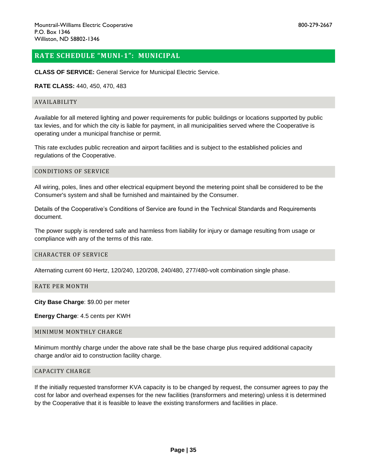# <span id="page-34-0"></span>**RATE SCHEDULE "MUNI-1": MUNICIPAL**

**CLASS OF SERVICE:** General Service for Municipal Electric Service.

## **RATE CLASS:** 440, 450, 470, 483

#### AVAILABILITY

Available for all metered lighting and power requirements for public buildings or locations supported by public tax levies, and for which the city is liable for payment, in all municipalities served where the Cooperative is operating under a municipal franchise or permit.

This rate excludes public recreation and airport facilities and is subject to the established policies and regulations of the Cooperative.

# CONDITIONS OF SERVICE

All wiring, poles, lines and other electrical equipment beyond the metering point shall be considered to be the Consumer's system and shall be furnished and maintained by the Consumer.

Details of the Cooperative's Conditions of Service are found in the Technical Standards and Requirements document.

The power supply is rendered safe and harmless from liability for injury or damage resulting from usage or compliance with any of the terms of this rate.

#### CHARACTER OF SERVICE

Alternating current 60 Hertz, 120/240, 120/208, 240/480, 277/480-volt combination single phase.

RATE PER MONTH

**City Base Charge**: \$9.00 per meter

**Energy Charge**: 4.5 cents per KWH

#### MINIMUM MONTHLY CHARGE

Minimum monthly charge under the above rate shall be the base charge plus required additional capacity charge and/or aid to construction facility charge.

#### CAPACITY CHARGE

If the initially requested transformer KVA capacity is to be changed by request, the consumer agrees to pay the cost for labor and overhead expenses for the new facilities (transformers and metering) unless it is determined by the Cooperative that it is feasible to leave the existing transformers and facilities in place.